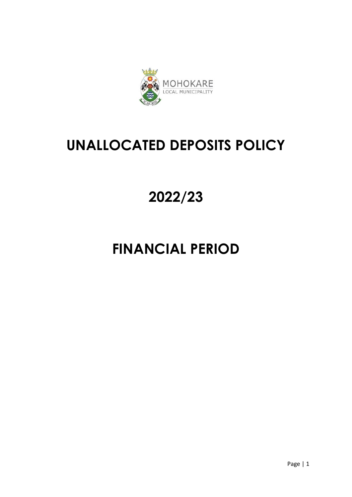

### **UNALLOCATED DEPOSITS POLICY**

# **2022/23**

## **FINANCIAL PERIOD**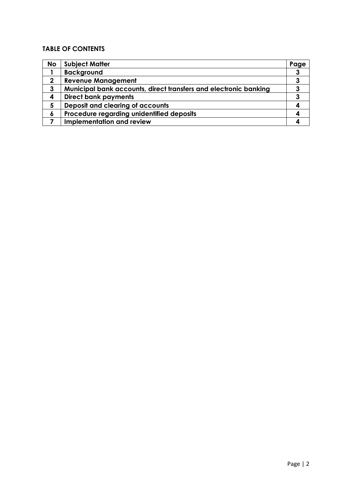### **TABLE OF CONTENTS**

| <b>No</b>    | <b>Subject Matter</b>                                            | Page |
|--------------|------------------------------------------------------------------|------|
|              | <b>Background</b>                                                | 3    |
| $\mathbf{2}$ | <b>Revenue Management</b>                                        |      |
| 3            | Municipal bank accounts, direct transfers and electronic banking |      |
| 4            | <b>Direct bank payments</b>                                      |      |
| 5            | Deposit and clearing of accounts                                 |      |
| 6            | Procedure regarding unidentified deposits                        |      |
|              | Implementation and review                                        |      |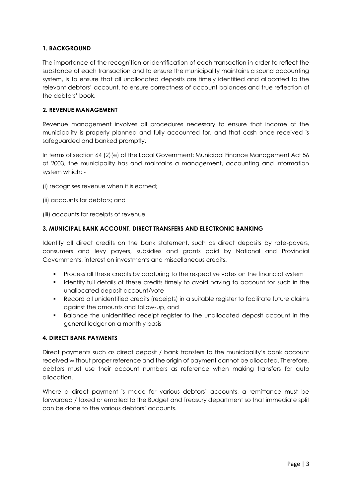#### **1. BACKGROUND**

The importance of the recognition or identification of each transaction in order to reflect the substance of each transaction and to ensure the municipality maintains a sound accounting system, is to ensure that all unallocated deposits are timely identified and allocated to the relevant debtors' account, to ensure correctness of account balances and true reflection of the debtors' book.

#### **2. REVENUE MANAGEMENT**

Revenue management involves all procedures necessary to ensure that income of the municipality is properly planned and fully accounted for, and that cash once received is safeguarded and banked promptly.

In terms of section 64 (2)(e) of the Local Government: Municipal Finance Management Act 56 of 2003, the municipality has and maintains a management, accounting and information system which: -

- (i) recognises revenue when it is earned;
- (ii) accounts for debtors; and
- (iii) accounts for receipts of revenue

#### **3. MUNICIPAL BANK ACCOUNT, DIRECT TRANSFERS AND ELECTRONIC BANKING**

Identify all direct credits on the bank statement, such as direct deposits by rate-payers, consumers and levy payers, subsidies and grants paid by National and Provincial Governments, interest on investments and miscellaneous credits.

- Process all these credits by capturing to the respective votes on the financial system
- I dentify full details of these credits timely to avoid having to account for such in the unallocated deposit account/vote
- Record all unidentified credits (receipts) in a suitable register to facilitate future claims against the amounts and follow-up, and
- Balance the unidentified receipt register to the unallocated deposit account in the general ledger on a monthly basis

#### **4. DIRECT BANK PAYMENTS**

Direct payments such as direct deposit / bank transfers to the municipality's bank account received without proper reference and the origin of payment cannot be allocated. Therefore, debtors must use their account numbers as reference when making transfers for auto allocation.

Where a direct payment is made for various debtors' accounts, a remittance must be forwarded / faxed or emailed to the Budget and Treasury department so that immediate split can be done to the various debtors' accounts.